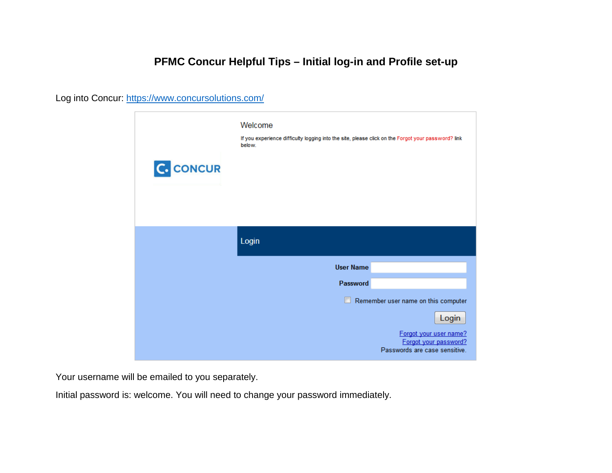# **PFMC Concur Helpful Tips – Initial log-in and Profile set-up**

Log into Concur:<https://www.concursolutions.com/>



Your username will be emailed to you separately.

Initial password is: welcome. You will need to change your password immediately.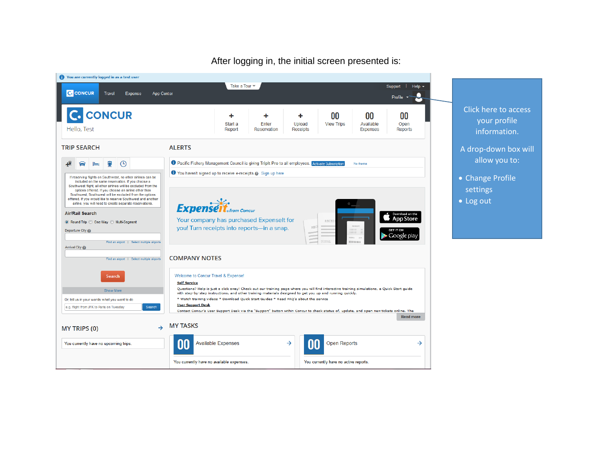

After logging in, the initial screen presented is: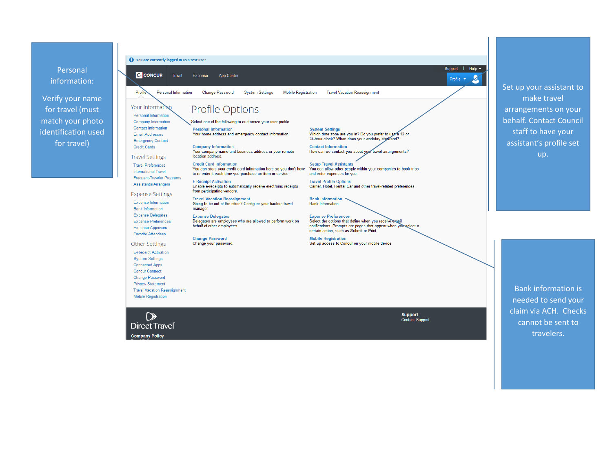Personal information:

Profile

**Travel Vacation Reassignment Mobile Registration** 

 $\Omega$ 

**Direct Travel Company Policy** 

Verify your name for travel (must match your photo identification used for travel)

• You are currently logged in as a test user **C** CONCUR Travel Expense App Center Personal Information Change Password **System Settings Mobile Registration Travel Vacation Reassignment** Your Informa Profile Options Personal Information Company Information Select one of the following to customize your user profile. **Contact Information System Settings Personal Information** Which time zone are you in? Do you prefer to use a 12 or Your home address and emergency contact information. **Email Addresses** 24-hour clock? When does your workday start/end? **Emergency Contact Credit Cards Company Information Contact Information** How can we contact you about your travel arrangements? Your company name and business address or your remote **Travel Settings** location address. **Credit Card Information Travel Preferences Setup Travel Assistants** You can allow other people within your companies to book trips You can store your credit card information here so you don't have International Travel to re-enter it each time you purchase an item or service. and enter expenses for you. Frequent-Traveler Programs **E-Receipt Activation Travel Profile Options** Assistants/Arrangers Enable e-receipts to automatically receive electronic receipts Carrier, Hotel, Rental Car and other travel-related preferences. from participating vendors. **Expense Settings** Travel Vacation Reassignment<br>Going to be out of the office? Configure your backup travel **Bank Information Expense Information Bank Information Bank Information** manager. Expense Delegates **Expense Delegates Expense Preferences** Expense Preferences Delegates are employees who are allowed to perform work on Select the options that define when you receive email behalf of other employees. notifications. Prompts are pages that appear when you select a Expense Approvers certain action, such as Submit or Print. **Favorite Attendees Change Password Mobile Registration** Change your password. Set up access to Concur on your mobile device **Other Settings E-Receipt Activation System Settings Connected Apps Concur Connect Change Password Privacy Statement** 

> Support **Contact Support**

Set up your assistant to make travel arrangements on your behalf. Contact Council staff to have your assistant's profile set up.

Support | Help -

 $\overline{\mathbf{z}}$ 

Profile  $\star$ 

Bank information is needed to send your claim via ACH. Checks cannot be sent to travelers.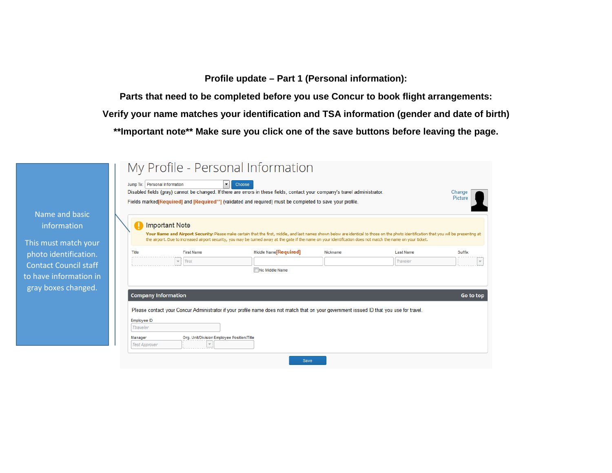**Profile update – Part 1 (Personal information):**

**Parts that need to be completed before you use Concur to book flight arrangements: Verify your name matches your identification and TSA information (gender and date of birth) \*\*Important note\*\* Make sure you click one of the save buttons before leaving the page.**

|                            | Jump To: Personal Information<br>▾ | Choose<br>Disabled fields (gray) cannot be changed. If there are errors in these fields, contact your company's travel administrator.<br>Fields marked [Required] and [Required**] (validated and required) must be completed to save your profile.                                                                                                       |          |                  | Change<br>Picture |
|----------------------------|------------------------------------|-----------------------------------------------------------------------------------------------------------------------------------------------------------------------------------------------------------------------------------------------------------------------------------------------------------------------------------------------------------|----------|------------------|-------------------|
|                            | <b>Important Note</b>              | Your Name and Airport Security: Please make certain that the first, middle, and last names shown below are identical to those on the photo identification that you will be presenting at<br>the airport. Due to increased airport security, you may be turned away at the gate if the name on your identification does not match the name on your ticket. |          |                  |                   |
| Title                      | <b>First Name</b>                  | Middle Name <sup>[</sup> Required]                                                                                                                                                                                                                                                                                                                        | Nickname | <b>Last Name</b> | Suffix            |
|                            | $\overline{\phantom{a}}$ Test      | No Middle Name                                                                                                                                                                                                                                                                                                                                            |          | Traveler         |                   |
|                            |                                    |                                                                                                                                                                                                                                                                                                                                                           |          |                  |                   |
| <b>Company Information</b> |                                    |                                                                                                                                                                                                                                                                                                                                                           |          |                  | Go to top         |
|                            |                                    | Please contact your Concur Administrator if your profile name does not match that on your government issued ID that you use for travel.                                                                                                                                                                                                                   |          |                  |                   |
|                            |                                    |                                                                                                                                                                                                                                                                                                                                                           |          |                  |                   |
| Employee ID                |                                    |                                                                                                                                                                                                                                                                                                                                                           |          |                  |                   |
| Ttraveler                  |                                    |                                                                                                                                                                                                                                                                                                                                                           |          |                  |                   |

Name and bas information

This must match photo identificat Contact Council s to have information gray boxes chang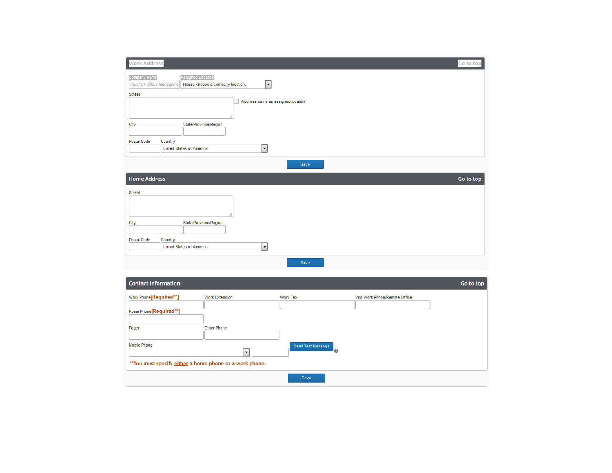| <b>Work Address</b>                                                                                                            | Go to top |
|--------------------------------------------------------------------------------------------------------------------------------|-----------|
|                                                                                                                                |           |
| Company Name<br>Assigned Location<br>$\overline{\phantom{a}}$<br>Pacific Fishery Manageme<br>Please choose a company location. |           |
| <b>Street</b>                                                                                                                  |           |
| Address same as assigned location<br>۰                                                                                         |           |
|                                                                                                                                |           |
|                                                                                                                                |           |
| State/Province/Region<br>City                                                                                                  |           |
| <b>Postal Code</b><br>Country                                                                                                  |           |
| $\overline{\phantom{a}}$<br><b>United States of America</b>                                                                    |           |
|                                                                                                                                |           |
| Save                                                                                                                           |           |
| <b>Home Address</b>                                                                                                            | Go to top |
|                                                                                                                                |           |
| <b>Street</b>                                                                                                                  |           |
|                                                                                                                                |           |
|                                                                                                                                |           |
| State/Province/Region<br>City                                                                                                  |           |
|                                                                                                                                |           |
| Postal Code<br>Country<br>$\overline{\phantom{a}}$<br><b>United States of America</b>                                          |           |
|                                                                                                                                |           |
| Save                                                                                                                           |           |
|                                                                                                                                |           |
| <b>Contact Information</b>                                                                                                     | Go to top |
| Work Phone[Required**]<br><b>Work Extension</b><br><b>Work Fax</b><br>2nd Work Phone/Remote Office                             |           |
|                                                                                                                                |           |
| Home Phone[Required**]                                                                                                         |           |
| <b>Other Phone</b><br>Pager                                                                                                    |           |
|                                                                                                                                |           |
| <b>Mobile Phone</b><br>Send Test Message                                                                                       |           |
| Ø<br>$\bar{\phantom{a}}$                                                                                                       |           |
| ** You must specify either a home phone or a work phone.                                                                       |           |
|                                                                                                                                |           |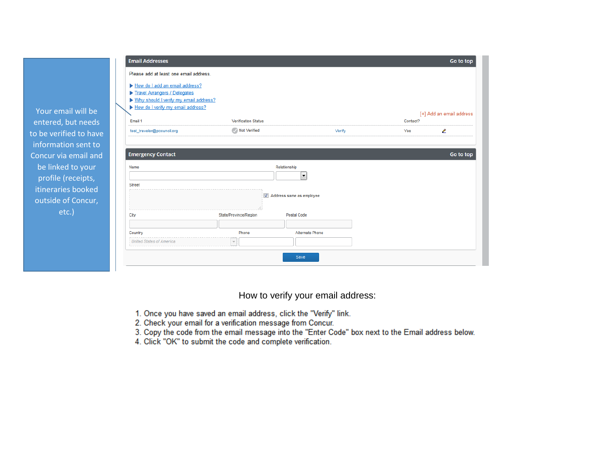

How to verify your email address:

- 1. Once you have saved an email address, click the "Verify" link.
- 2. Check your email for a verification message from Concur.
- 3. Copy the code from the email message into the "Enter Code" box next to the Email address below.
- 4. Click "OK" to submit the code and complete verification.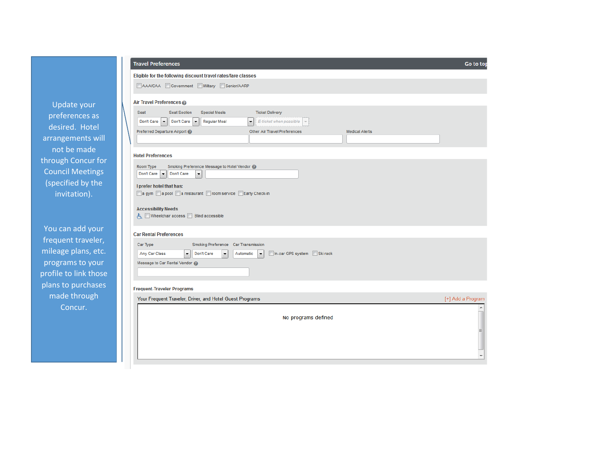|                                                                                                                                                                                  |  | AAA/CAA Govern                                                                                                                                                                                                                            |
|----------------------------------------------------------------------------------------------------------------------------------------------------------------------------------|--|-------------------------------------------------------------------------------------------------------------------------------------------------------------------------------------------------------------------------------------------|
| <b>Update your</b><br>preferences as<br>desired. Hotel<br>arrangements will<br>not be made<br>through Concur for<br><b>Council Meetings</b><br>(specified by the<br>invitation). |  | Air Travel Preferences @<br>Seat<br>Seat Sec<br>Don't Ca<br>Don't Care<br><b>Preferred Departure Airpor</b><br><b>Hotel Preferences</b><br>Smoking F<br>Room Type<br>Don't Ca<br>Don't Care<br>I prefer hotel that has:<br>a qym a pool a |
|                                                                                                                                                                                  |  | <b>Accessibility Needs</b><br>Wheelchair access                                                                                                                                                                                           |
| You can add your<br>frequent traveler,<br>mileage plans, etc.<br>programs to your                                                                                                |  | <b>Car Rental Preferences</b><br><b>Car Type</b><br>Any Car Class<br>Message to Car Rental Ver                                                                                                                                            |

profile to link those

plans to purchases

made through Concur.

## Travel Preferences

## Eligible for the following discount travel rates/fare classes

overnment Military Senior/AARP

#### $\c{es}$   $\odot$

| Seat<br>Seat Section<br>Special Meals          | <b>Ticket Delivery</b>                       |                       |  |
|------------------------------------------------|----------------------------------------------|-----------------------|--|
| Don't Care   v   Don't Care   v   Regular Meal | $\bullet$ : E-ticket when possible $\bullet$ |                       |  |
| Preferred Departure Airport                    | Other Air Travel Preferences                 | <b>Medical Alerts</b> |  |
|                                                |                                              |                       |  |

Go to top

| Smoking Preference Message to Hotel Vendor @<br>Room Type |  |
|-----------------------------------------------------------|--|
| Don't Care v Don't Care<br>$\mathbf{r}$                   |  |
| I prefer hotel that has:                                  |  |
| a gym a pool a restaurant noom service a Early Check-in   |  |
|                                                           |  |

ccess **D** Blind accessible

| Car Type                     | Smoking Preference Car Transmission |                                                                                                                             |  |
|------------------------------|-------------------------------------|-----------------------------------------------------------------------------------------------------------------------------|--|
| Any Car Class                |                                     | $\left \bullet\right $ Don't Care $\left \bullet\right $ Automatic $\left \bullet\right $ <b>In-car GPS system</b> Ski rack |  |
| Message to Car Rental Vendor |                                     |                                                                                                                             |  |
|                              |                                     |                                                                                                                             |  |

#### **Frequent-Traveler Programs**

|  | Your Frequent Traveler, Driver, and Hotel Guest Programs | [+] Add a Program |
|--|----------------------------------------------------------|-------------------|
|  | No programs defined                                      |                   |
|  |                                                          | E                 |
|  |                                                          |                   |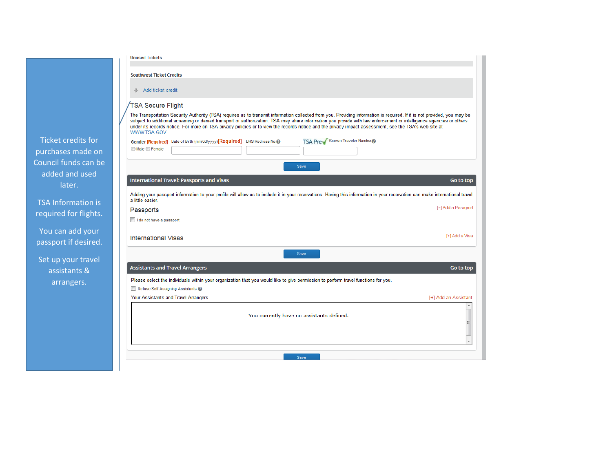| <b>Unused Tickets</b>                                                                                                                                                                                                                                                                                                                                                                                                                                                                                                    |
|--------------------------------------------------------------------------------------------------------------------------------------------------------------------------------------------------------------------------------------------------------------------------------------------------------------------------------------------------------------------------------------------------------------------------------------------------------------------------------------------------------------------------|
| <b>Southwest Ticket Credits</b>                                                                                                                                                                                                                                                                                                                                                                                                                                                                                          |
| ← Add ticket credit                                                                                                                                                                                                                                                                                                                                                                                                                                                                                                      |
| TSA Secure Flight                                                                                                                                                                                                                                                                                                                                                                                                                                                                                                        |
| The Transportation Security Authority (TSA) requires us to transmit information collected from you. Providing information is required. If it is not provided, you may be<br>subject to additional screening or denied transport or authorization. TSA may share information you provide with law enforcement or intelligence agencies or others<br>under its records notice. For more on TSA privacy policies or to view the records notice and the privacy impact assessment, see the TSA's web site at<br>WWW.TSA.GOV. |
| TSA Pre Known Traveler Number<br>Gender [Required] Date of Birth (mm/dd/yyyy)[Required] DHS Redress No.@                                                                                                                                                                                                                                                                                                                                                                                                                 |
| Male <b>Female</b>                                                                                                                                                                                                                                                                                                                                                                                                                                                                                                       |
| Save                                                                                                                                                                                                                                                                                                                                                                                                                                                                                                                     |
| <b>International Travel: Passports and Visas</b><br>Go to top                                                                                                                                                                                                                                                                                                                                                                                                                                                            |
| Adding your passport information to your profile will allow us to include it in your reservations. Having this information in your reservation can make international travel<br>a little easier.                                                                                                                                                                                                                                                                                                                         |
| [+] Add a Passport<br>Passports                                                                                                                                                                                                                                                                                                                                                                                                                                                                                          |
| I do not have a passport                                                                                                                                                                                                                                                                                                                                                                                                                                                                                                 |
| [+] Add a Visa<br>International Visas                                                                                                                                                                                                                                                                                                                                                                                                                                                                                    |
| Save                                                                                                                                                                                                                                                                                                                                                                                                                                                                                                                     |
| <b>Assistants and Travel Arrangers</b><br>Go to top                                                                                                                                                                                                                                                                                                                                                                                                                                                                      |
| Please select the individuals within your organization that you would like to give permission to perform travel functions for you.                                                                                                                                                                                                                                                                                                                                                                                       |
| Refuse Self Assigning Assistants                                                                                                                                                                                                                                                                                                                                                                                                                                                                                         |
| Your Assistants and Travel Arrangers<br>[+] Add an Assistant                                                                                                                                                                                                                                                                                                                                                                                                                                                             |
| You currently have no assistants defined.<br>$\equiv$                                                                                                                                                                                                                                                                                                                                                                                                                                                                    |
|                                                                                                                                                                                                                                                                                                                                                                                                                                                                                                                          |
| Save                                                                                                                                                                                                                                                                                                                                                                                                                                                                                                                     |
|                                                                                                                                                                                                                                                                                                                                                                                                                                                                                                                          |

Ticket credits purchases mad Council funds added and  $u$ later.

TSA Informati required for fl

You can add passport if des

Set up your ti assistants arrangers.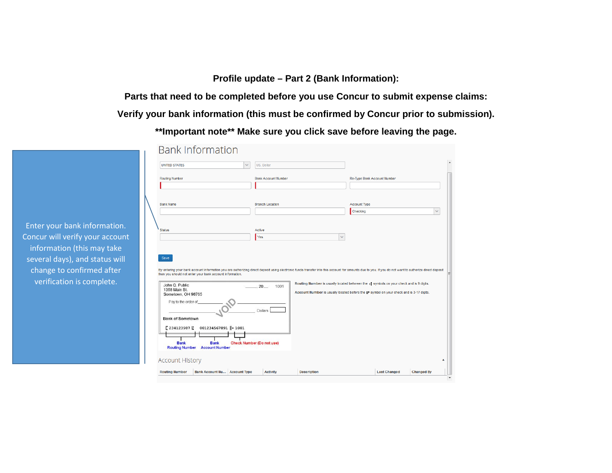**Profile update – Part 2 (Bank Information):**

**Parts that need to be completed before you use Concur to submit expense claims: Verify your bank information (this must be confirmed by Concur prior to submission).**

**\*\*Important note\*\* Make sure you click save before leaving the page.**

| <b>Routing Number</b><br><b>Bank Account Number</b><br>Re-Type Bank Account Number<br><b>Bank Name</b><br><b>Branch Location</b><br><b>Account Type</b><br>Checking<br><b>Status</b><br>Active<br>Yes<br>$\sim$<br>Save<br>By entering your bank account information you are authorizing direct deposit using electronic funds transfer into this account for amounts due to you. If you do not want to authorize direct deposit<br>then you should not enter your bank account information.<br>Routing Number is usually located between the press symbols on your check and is 9 digits.<br>John Q. Public<br>$20 -$<br>1001<br>1358 Main St.<br>Account Number is usually located before the $\mu$ symbol on your check and is 3-17 digits.<br>Sometown, OH 98765<br>Pay to the order of<br><b>Dollars</b><br><b>Bank of Sometown</b><br>$\frac{1}{2}$ 234123987<br>001234567891    1001<br><b>Bank</b><br><b>Bank</b><br><b>Check Number (Do not use)</b><br><b>Account Number</b><br><b>Routing Number</b> | <b>UNITED STATES</b> | US, Dollar<br>$\checkmark$ |  |
|-----------------------------------------------------------------------------------------------------------------------------------------------------------------------------------------------------------------------------------------------------------------------------------------------------------------------------------------------------------------------------------------------------------------------------------------------------------------------------------------------------------------------------------------------------------------------------------------------------------------------------------------------------------------------------------------------------------------------------------------------------------------------------------------------------------------------------------------------------------------------------------------------------------------------------------------------------------------------------------------------------------------|----------------------|----------------------------|--|
|                                                                                                                                                                                                                                                                                                                                                                                                                                                                                                                                                                                                                                                                                                                                                                                                                                                                                                                                                                                                                 |                      |                            |  |
|                                                                                                                                                                                                                                                                                                                                                                                                                                                                                                                                                                                                                                                                                                                                                                                                                                                                                                                                                                                                                 |                      |                            |  |
|                                                                                                                                                                                                                                                                                                                                                                                                                                                                                                                                                                                                                                                                                                                                                                                                                                                                                                                                                                                                                 |                      |                            |  |
|                                                                                                                                                                                                                                                                                                                                                                                                                                                                                                                                                                                                                                                                                                                                                                                                                                                                                                                                                                                                                 |                      |                            |  |
|                                                                                                                                                                                                                                                                                                                                                                                                                                                                                                                                                                                                                                                                                                                                                                                                                                                                                                                                                                                                                 |                      |                            |  |
|                                                                                                                                                                                                                                                                                                                                                                                                                                                                                                                                                                                                                                                                                                                                                                                                                                                                                                                                                                                                                 |                      |                            |  |
|                                                                                                                                                                                                                                                                                                                                                                                                                                                                                                                                                                                                                                                                                                                                                                                                                                                                                                                                                                                                                 |                      |                            |  |
|                                                                                                                                                                                                                                                                                                                                                                                                                                                                                                                                                                                                                                                                                                                                                                                                                                                                                                                                                                                                                 |                      |                            |  |
|                                                                                                                                                                                                                                                                                                                                                                                                                                                                                                                                                                                                                                                                                                                                                                                                                                                                                                                                                                                                                 |                      |                            |  |
|                                                                                                                                                                                                                                                                                                                                                                                                                                                                                                                                                                                                                                                                                                                                                                                                                                                                                                                                                                                                                 |                      |                            |  |
| <b>Account History</b>                                                                                                                                                                                                                                                                                                                                                                                                                                                                                                                                                                                                                                                                                                                                                                                                                                                                                                                                                                                          |                      |                            |  |

Enter your bank information. Concur will verify your account information (this may take several days), and status will change to confirmed after verification is complete.